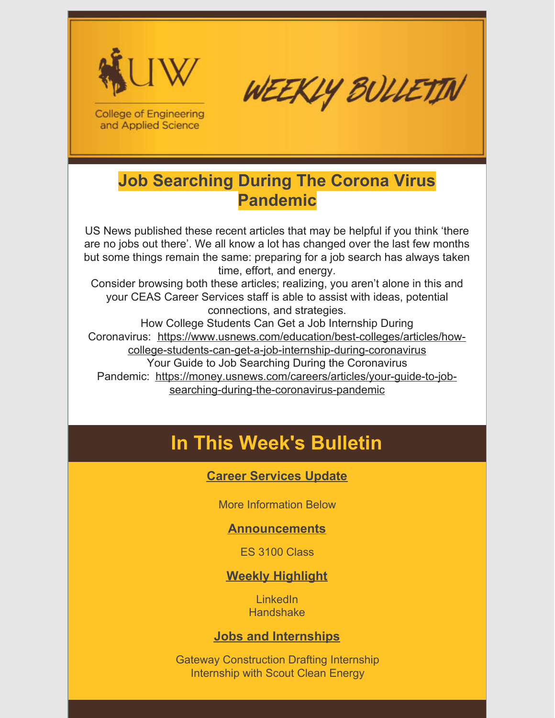

WEEKLY BULLETIN

**College of Engineering** and Applied Science

### **Job Searching During The Corona Virus Pandemic**

US News published these recent articles that may be helpful if you think 'there are no jobs out there'. We all know a lot has changed over the last few months but some things remain the same: preparing for a job search has always taken time, effort, and energy.

Consider browsing both these articles; realizing, you aren't alone in this and your CEAS Career Services staff is able to assist with ideas, potential connections, and strategies.

How College Students Can Get a Job Internship During Coronavirus: https://www.usnews.com/education/best-colleges/articles/howcollege-students-can-get-a-job-internship-during-coronavirus Your Guide to Job Searching During the Coronavirus Pandemic: https://money.usnews.com/careers/articles/your-guide-to-jobsearching-during-the-coronavirus-pandemic

## **In This Week's Bulletin**

### **Career Services Update**

More Information Below

#### **Announcements**

ES 3100 Class

### **Weekly Highlight**

LinkedIn **Handshake** 

#### **Jobs and Internships**

Gateway Construction Drafting Internship Internship with Scout Clean Energy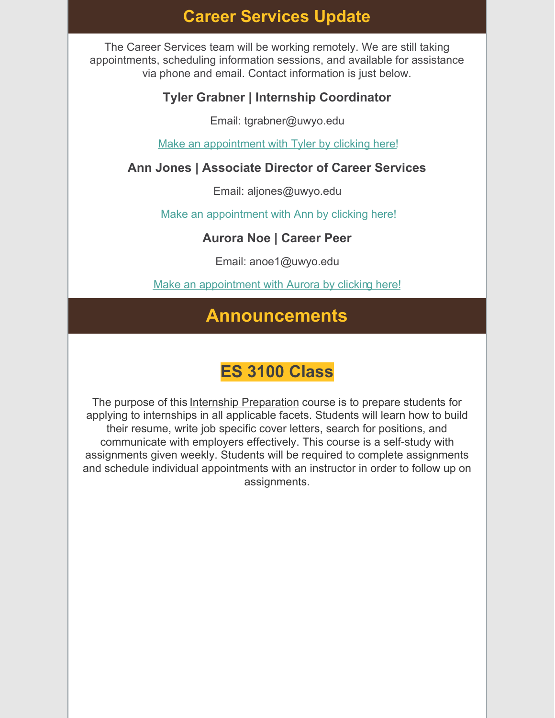### **Career Services Update**

The Career Services team will be working remotely. We are still taking appointments, scheduling information sessions, and available for assistance via phone and email. Contact information is just below.

### **Tyler Grabner | Internship Coordinator**

Email: tgrabner@uwyo.edu

Make an appointment with Tyler by clicking here!

#### **Ann Jones | Associate Director of Career Services**

Email: aljones@uwyo.edu

Make an appointment with Ann by clicking here!

#### **Aurora Noe | Career Peer**

Email: anoe1@uwyo.edu

Make an appointment with Aurora by clicking here!

### **Announcements**

### **ES 3100 Class**

The purpose of this Internship Preparation course is to prepare students for applying to internships in all applicable facets. Students will learn how to build their resume, write job specific cover letters, search for positions, and communicate with employers effectively. This course is a self-study with assignments given weekly. Students will be required to complete assignments and schedule individual appointments with an instructor in order to follow up on assignments.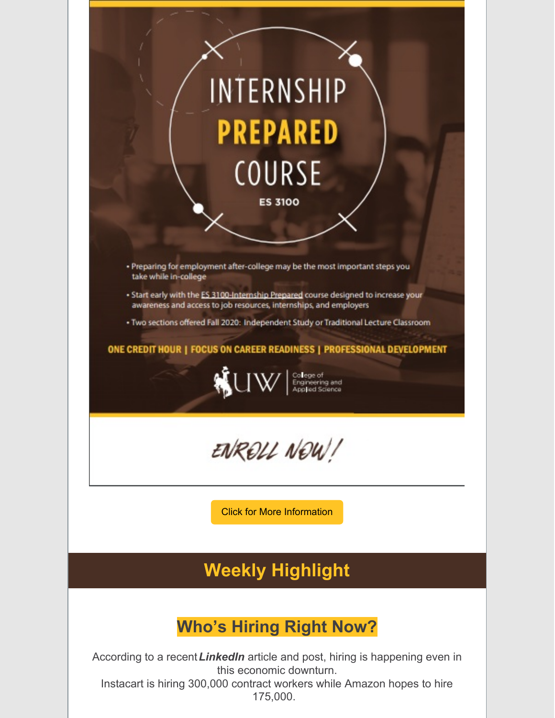

### **Who's Hiring Right Now?**

According to a recent*LinkedIn* article and post, hiring is happening even in this economic downturn.

Instacart is hiring 300,000 contract workers while Amazon hopes to hire 175,000.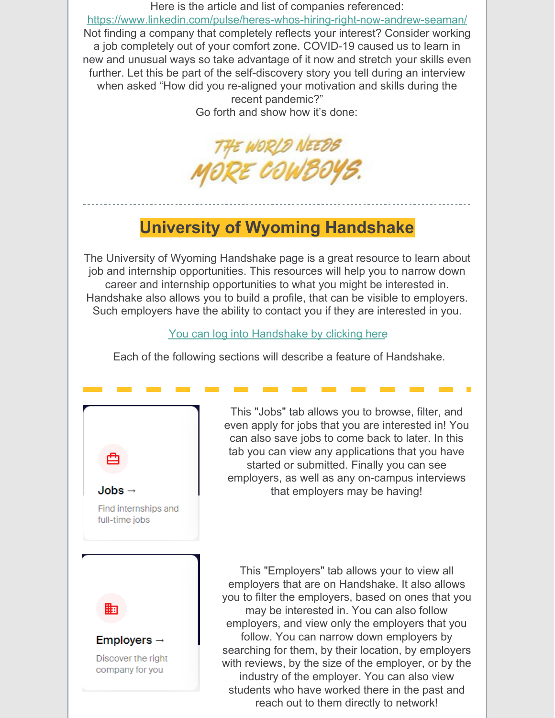Here is the article and list of companies referenced: https://www.linkedin.com/pulse/heres-whos-hiring-right-now-andrew-seaman/ Not finding a company that completely reflects your interest? Consider working a job completely out of your comfort zone. COVID-19 caused us to learn in new and unusual ways so take advantage of it now and stretch your skills even further. Let this be part of the self-discovery story you tell during an interview when asked "How did you re-aligned your motivation and skills during the recent pandemic?" Go forth and show how it's done:

THE WORLD NEEDS<br>MORE COWBOYS.

### **University of Wyoming Handshake**

The University of Wyoming Handshake page is a great resource to learn about job and internship opportunities. This resources will help you to narrow down career and internship opportunities to what you might be interested in. Handshake also allows you to build a profile, that can be visible to employers. Such employers have the ability to contact you if they are interested in you.

You can log into Handshake by clicking here

Each of the following sections will describe a feature of Handshake.



This "Jobs" tab allows you to browse, filter, and even apply for jobs that you are interested in! You can also save jobs to come back to later. In this tab you can view any applications that you have started or submitted. Finally you can see employers, as well as any on-campus interviews that employers may be having!

This "Employers" tab allows your to view all employers that are on Handshake. It also allows you to filter the employers, based on ones that you may be interested in. You can also follow employers, and view only the employers that you follow. You can narrow down employers by searching for them, by their location, by employers with reviews, by the size of the employer, or by the industry of the employer. You can also view students who have worked there in the past and reach out to them directly to network!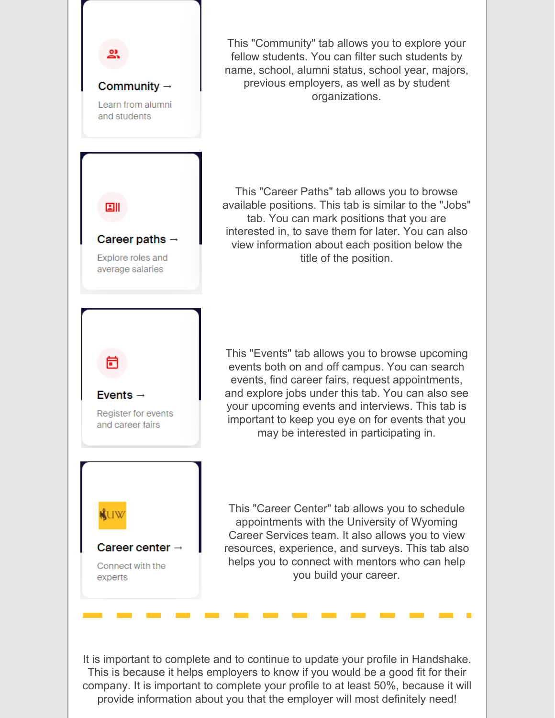

This "Community" tab allows you to explore your fellow students. You can filter such students by name, school, alumni status, school year, majors, previous employers, as well as by student organizations.

This "Career Paths" tab allows you to browse available positions. This tab is similar to the "Jobs" tab. You can mark positions that you are interested in, to save them for later. You can also view information about each position below the title of the position.

This "Events" tab allows you to browse upcoming events both on and off campus. You can search events, find career fairs, request appointments, and explore jobs under this tab. You can also see your upcoming events and interviews. This tab is important to keep you eye on for events that you may be interested in participating in.

This "Career Center" tab allows you to schedule appointments with the University of Wyoming Career Services team. It also allows you to view resources, experience, and surveys. This tab also helps you to connect with mentors who can help you build your career.

It is important to complete and to continue to update your profile in Handshake. This is because it helps employers to know if you would be a good fit for their company. It is important to complete your profile to at least 50%, because it will provide information about you that the employer will most definitely need!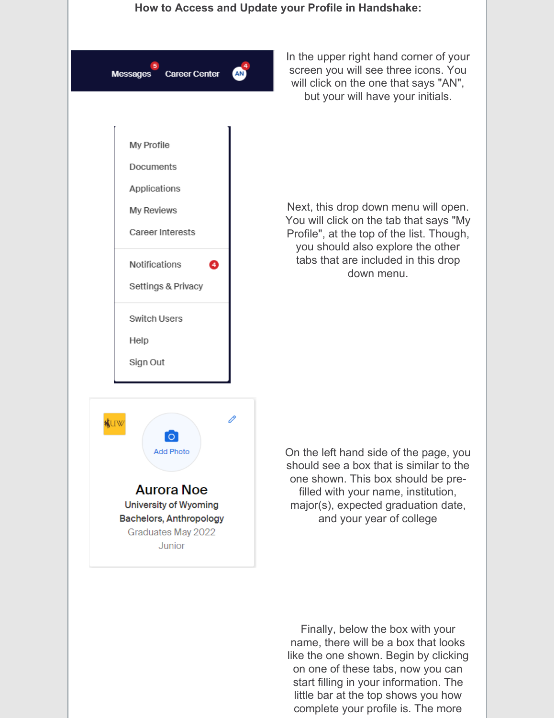

In the upper right hand corner of your screen you will see three icons. You will click on the one that says "AN", but your will have your initials.

Next, this drop down menu will open. You will click on the tab that says "My Profile", at the top of the list. Though, you should also explore the other tabs that are included in this drop down menu.

On the left hand side of the page, you should see a box that is similar to the one shown. This box should be prefilled with your name, institution, major(s), expected graduation date, and your year of college

Finally, below the box with your name, there will be a box that looks like the one shown. Begin by clicking on one of these tabs, now you can start filling in your information. The little bar at the top shows you how complete your profile is. The more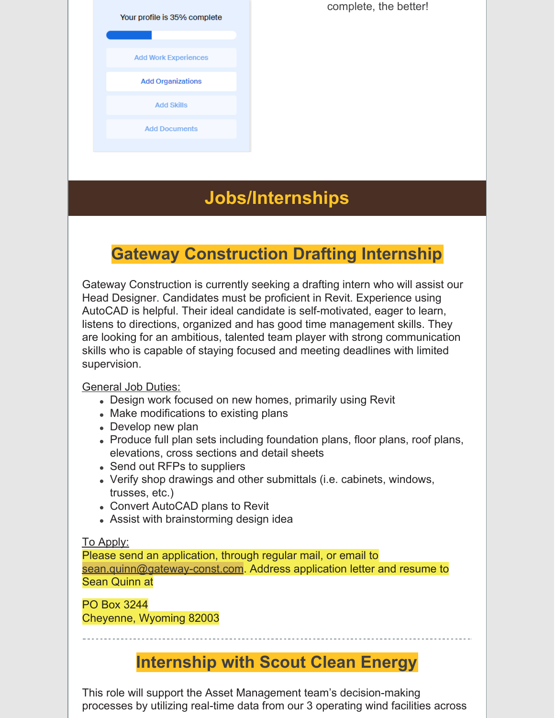Your profile is 35% complete

**Add Work Experiences** 

**Add Organizations** 

**Add Skills** 

**Add Documents** 

complete, the better!

### **Jobs/Internships**

### **Gateway Construction Drafting Internship**

Gateway Construction is currently seeking a drafting intern who will assist our Head Designer. Candidates must be proficient in Revit. Experience using AutoCAD is helpful. Their ideal candidate is self-motivated, eager to learn, listens to directions, organized and has good time management skills. They are looking for an ambitious, talented team player with strong communication skills who is capable of staying focused and meeting deadlines with limited supervision.

#### General Job Duties:

- Design work focused on new homes, primarily using Revit
- Make modifications to existing plans
- Develop new plan
- Produce full plan sets including foundation plans, floor plans, roof plans, elevations, cross sections and detail sheets
- Send out RFPs to suppliers
- Verify shop drawings and other submittals (i.e. cabinets, windows, trusses, etc.)
- Convert AutoCAD plans to Revit
- Assist with brainstorming design idea

#### To Apply:

Please send an application, through regular mail, or email to sean.quinn@gateway-const.com. Address application letter and resume to Sean Quinn at

PO Box 3244 Cheyenne, Wyoming 82003

### **Internship with Scout Clean Energy**

This role will support the Asset Management team's decision-making processes by utilizing real-time data from our 3 operating wind facilities across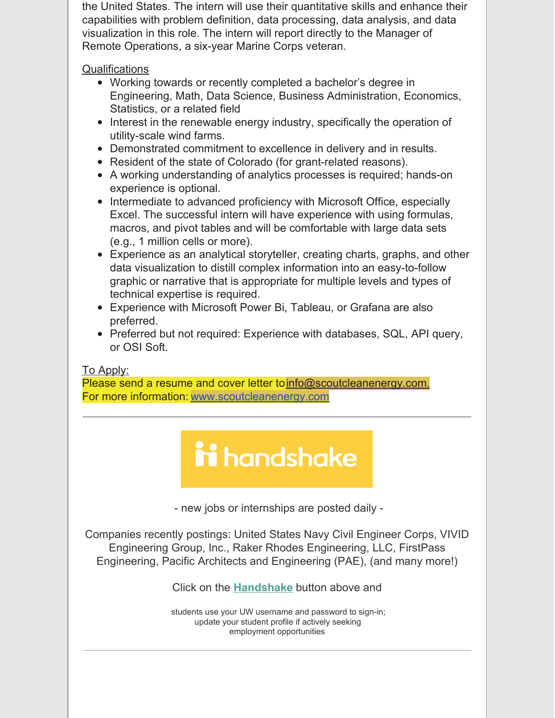the United States. The intern will use their quantitative skills and enhance their capabilities with problem definition, data processing, data analysis, and data visualization in this role. The intern will report directly to the Manager of Remote Operations, a six-year Marine Corps veteran.

**Qualifications** 

- Working towards or recently completed a bachelor's degree in Engineering, Math, Data Science, Business Administration, Economics, Statistics, or a related field
- Interest in the renewable energy industry, specifically the operation of utility-scale wind farms.
- Demonstrated commitment to excellence in delivery and in results.
- Resident of the state of Colorado (for grant-related reasons).
- A working understanding of analytics processes is required; hands-on experience is optional.
- Intermediate to advanced proficiency with Microsoft Office, especially Excel. The successful intern will have experience with using formulas, macros, and pivot tables and will be comfortable with large data sets (e.g., 1 million cells or more).
- Experience as an analytical storyteller, creating charts, graphs, and other data visualization to distill complex information into an easy-to-follow graphic or narrative that is appropriate for multiple levels and types of technical expertise is required.
- Experience with Microsoft Power Bi, Tableau, or Grafana are also preferred.
- Preferred but not required: Experience with databases, SQL, API query, or OSI Soft.

#### To Apply:

Please send a resume and cover letter to info@scoutcleanenergy.com. For more information: www.scoutcleanenergy.com

# ii handshake

- new jobs or internships are posted daily -

Companies recently postings: United States Navy Civil Engineer Corps, VIVID Engineering Group, Inc., Raker Rhodes Engineering, LLC, FirstPass Engineering, Pacific Architects and Engineering (PAE), (and many more!)

Click on the **Handshake** button above and

students use your UW username and password to sign-in; update your student profile if actively seeking employment opportunities